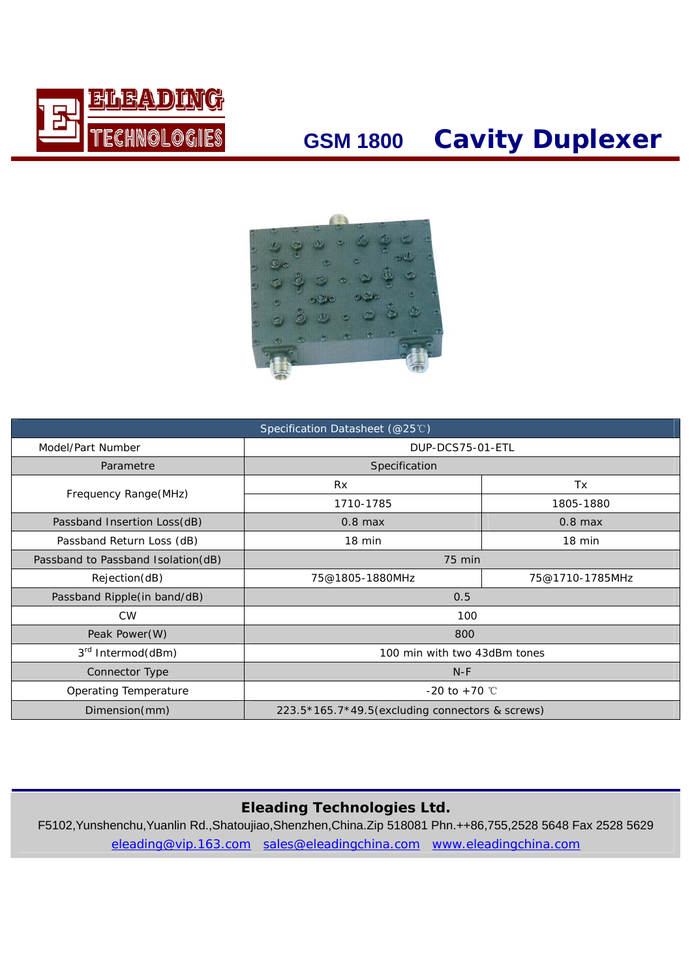

## **GSM 1800 Cavity Duplexer**



| Specification Datasheet (@25℃)     |                                                    |           |  |
|------------------------------------|----------------------------------------------------|-----------|--|
| Model/Part Number                  | DUP-DCS75-01-ETL                                   |           |  |
| Parametre                          | Specification                                      |           |  |
|                                    | <b>Rx</b>                                          | Tx        |  |
| Frequency Range(MHz)               | 1710-1785                                          | 1805-1880 |  |
| Passband Insertion Loss(dB)        | $0.8$ max                                          | $0.8$ max |  |
| Passband Return Loss (dB)          | $18 \text{ min}$<br>$18 \text{ min}$               |           |  |
| Passband to Passband Isolation(dB) | 75 min                                             |           |  |
| Rejection(dB)                      | 75@1805-1880MHz<br>75@1710-1785MHz                 |           |  |
| Passband Ripple(in band/dB)        | 0.5                                                |           |  |
| <b>CW</b>                          | 100                                                |           |  |
| Peak Power (W)                     | 800                                                |           |  |
| 3 <sup>rd</sup> Intermod(dBm)      | 100 min with two 43dBm tones                       |           |  |
| Connector Type                     | $N-F$                                              |           |  |
| Operating Temperature              | $-20$ to $+70$ °C                                  |           |  |
| Dimension(mm)                      | $223.5*165.7*49.5$ (excluding connectors & screws) |           |  |

#### **Eleading Technologies Ltd.**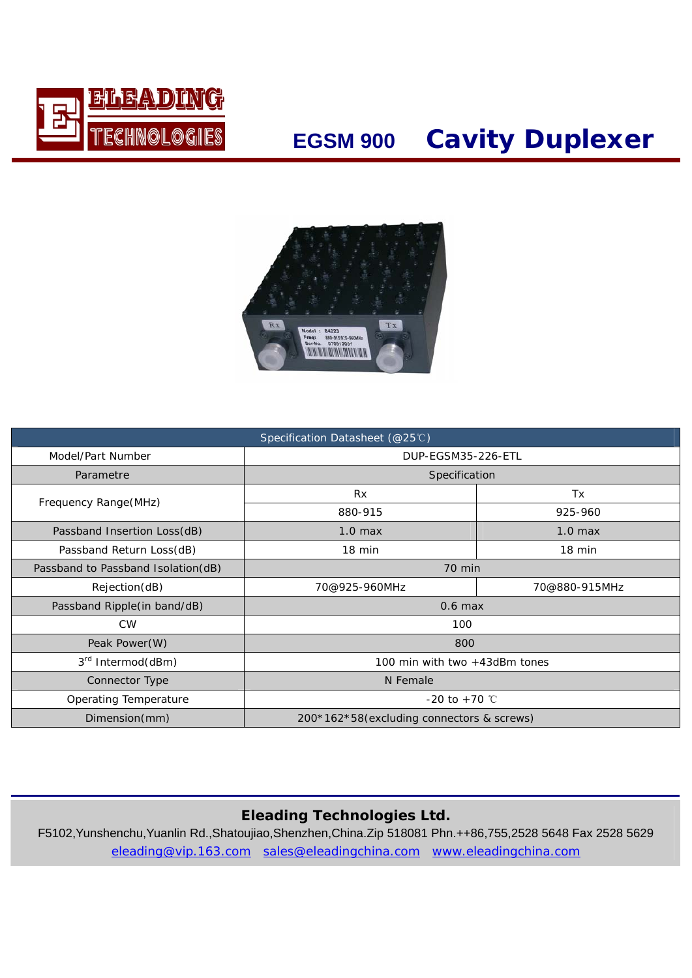

## **EGSM 900 Cavity Duplexer**



| Specification Datasheet (@25℃)     |                                           |           |  |
|------------------------------------|-------------------------------------------|-----------|--|
| Model/Part Number                  | DUP-EGSM35-226-ETL                        |           |  |
| Parametre                          | Specification                             |           |  |
|                                    | <b>Rx</b>                                 | Tx        |  |
| Frequency Range (MHz)              | 880-915                                   | 925-960   |  |
| Passband Insertion Loss(dB)        | $1.0$ max                                 | $1.0$ max |  |
| Passband Return Loss(dB)           | 18 min<br>$18 \text{ min}$                |           |  |
| Passband to Passband Isolation(dB) | 70 min                                    |           |  |
| Rejection(dB)                      | 70@925-960MHz<br>70@880-915MHz            |           |  |
| Passband Ripple(in band/dB)        | $0.6$ max                                 |           |  |
| <b>CW</b>                          | 100                                       |           |  |
| Peak Power(W)                      | 800                                       |           |  |
| 3 <sup>rd</sup> Intermod(dBm)      | 100 min with two +43dBm tones             |           |  |
| Connector Type                     | N Female                                  |           |  |
| Operating Temperature              | $-20$ to $+70$ °C                         |           |  |
| Dimension(mm)                      | 200*162*58(excluding connectors & screws) |           |  |

### **Eleading Technologies Ltd.**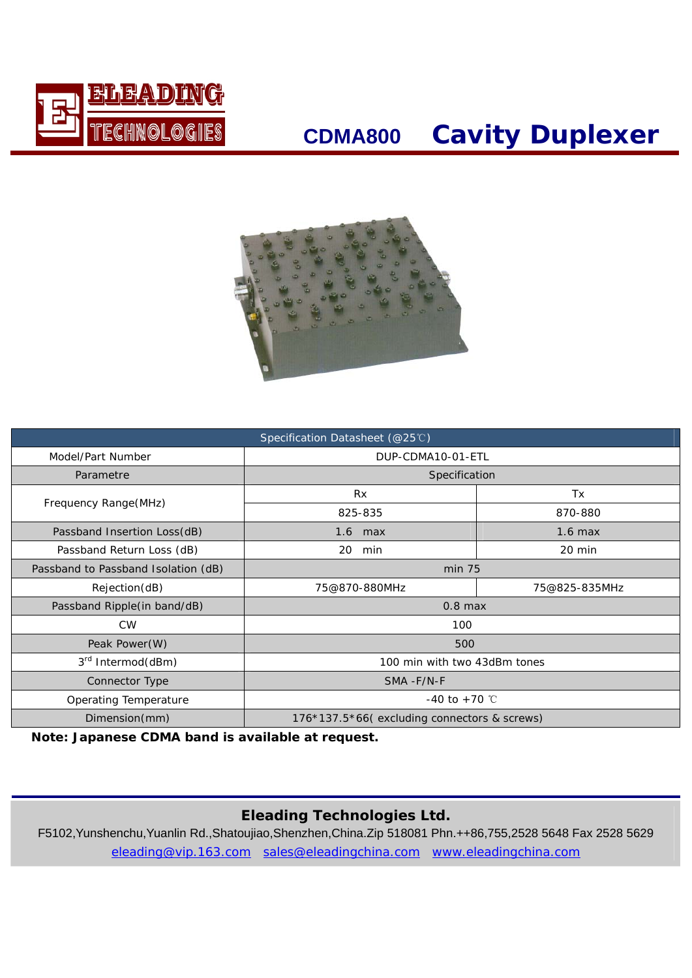

### **CDMA800 Cavity Duplexer**



| Specification Datasheet (@25℃)      |                                             |           |  |
|-------------------------------------|---------------------------------------------|-----------|--|
| Model/Part Number                   | DUP-CDMA10-01-ETL                           |           |  |
| Parametre                           | Specification                               |           |  |
|                                     | <b>Rx</b>                                   | Tx        |  |
| Frequency Range(MHz)                | 825-835                                     | 870-880   |  |
| Passband Insertion Loss(dB)         | $1.6$ max                                   | $1.6$ max |  |
| Passband Return Loss (dB)           | 20<br>min                                   | 20 min    |  |
| Passband to Passband Isolation (dB) | $min$ 75                                    |           |  |
| Rejection(dB)                       | 75@870-880MHz<br>75@825-835MHz              |           |  |
| Passband Ripple(in band/dB)         | $0.8$ max                                   |           |  |
| <b>CW</b>                           | 100                                         |           |  |
| Peak Power(W)                       | 500                                         |           |  |
| 3 <sup>rd</sup> Intermod(dBm)       | 100 min with two 43dBm tones                |           |  |
| Connector Type                      | SMA-F/N-F                                   |           |  |
| Operating Temperature               | $-40$ to $+70$ °C                           |           |  |
| Dimension(mm)                       | 176*137.5*66(excluding connectors & screws) |           |  |

**Note: Japanese CDMA band is available at request.**

### **Eleading Technologies Ltd.**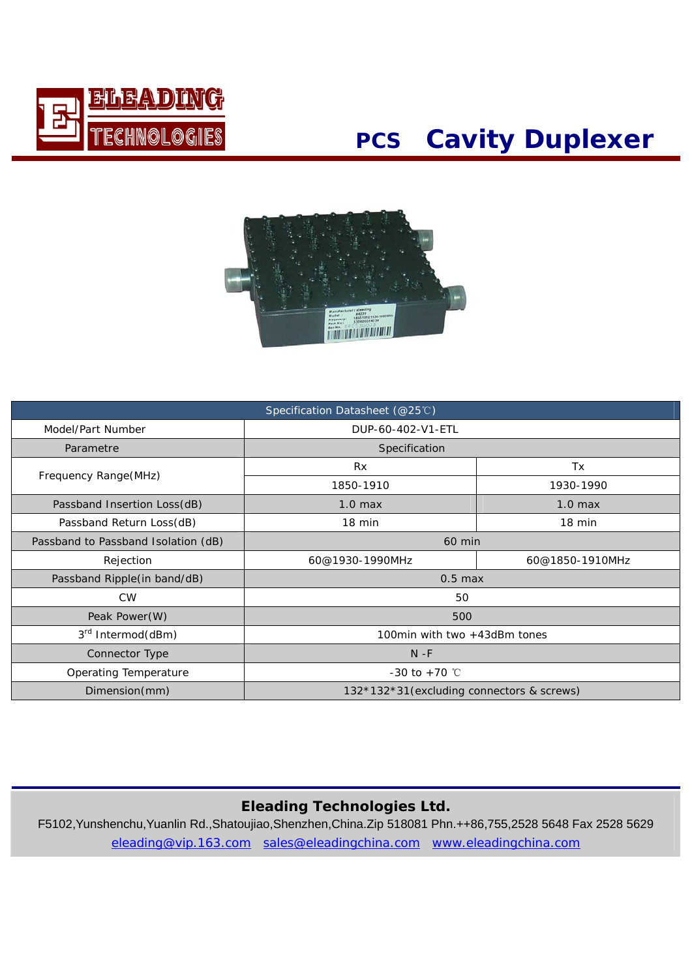

## **PCS Cavity Duplexer**



| Specification Datasheet (@25℃)      |                                            |                  |  |
|-------------------------------------|--------------------------------------------|------------------|--|
| Model/Part Number                   | DUP-60-402-V1-ETL                          |                  |  |
| Parametre                           | Specification                              |                  |  |
|                                     | <b>Rx</b>                                  | Tx               |  |
| Frequency Range (MHz)               | 1850-1910                                  | 1930-1990        |  |
| Passband Insertion Loss(dB)         | 1.0 <sub>max</sub>                         | $1.0$ max        |  |
| Passband Return Loss(dB)            | 18 min                                     | $18 \text{ min}$ |  |
| Passband to Passband Isolation (dB) | 60 min                                     |                  |  |
| Rejection                           | 60@1930-1990MHz<br>60@1850-1910MHz         |                  |  |
| Passband Ripple(in band/dB)         | $0.5$ max                                  |                  |  |
| <b>CW</b>                           | 50                                         |                  |  |
| Peak Power(W)                       | 500                                        |                  |  |
| 3 <sup>rd</sup> Intermod(dBm)       | 100min with two +43dBm tones               |                  |  |
| Connector Type                      | $N - F$                                    |                  |  |
| Operating Temperature               | $-30$ to $+70$ °C                          |                  |  |
| Dimension(mm)                       | 132*132*31 (excluding connectors & screws) |                  |  |

#### **Eleading Technologies Ltd.**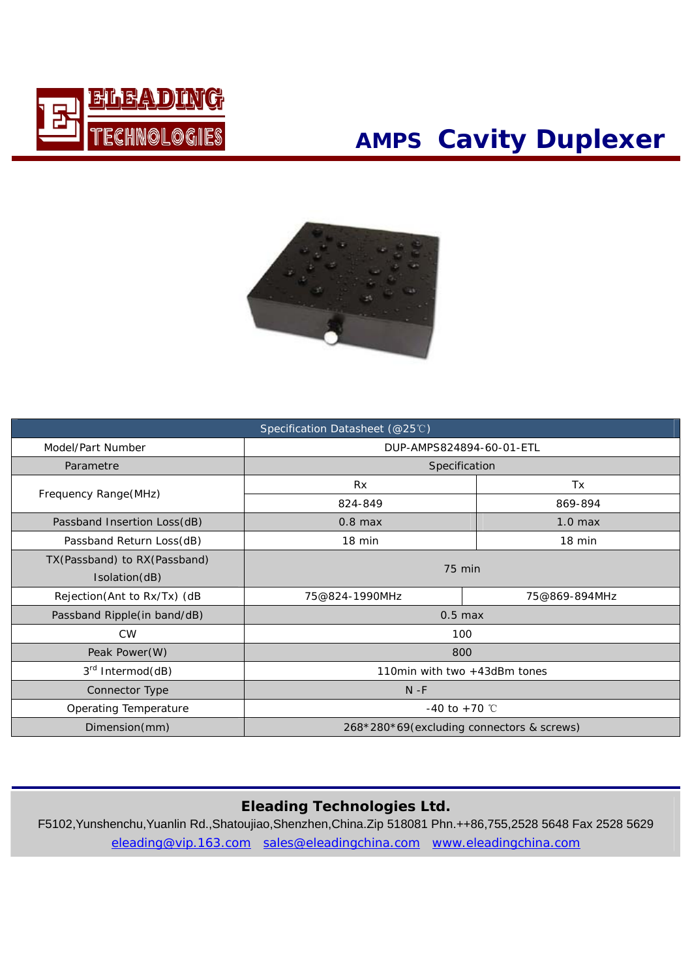

## **AMPS Cavity Duplexer**



| Specification Datasheet (@25℃) |                                           |           |  |  |
|--------------------------------|-------------------------------------------|-----------|--|--|
| Model/Part Number              | DUP-AMPS824894-60-01-ETL                  |           |  |  |
| Parametre                      | Specification                             |           |  |  |
|                                | <b>Rx</b>                                 | Tx        |  |  |
| Frequency Range(MHz)           | 824-849                                   | 869-894   |  |  |
| Passband Insertion Loss(dB)    | $0.8$ max                                 | $1.0$ max |  |  |
| Passband Return Loss(dB)       | 18 min                                    | 18 min    |  |  |
| TX(Passband) to RX(Passband)   | $75$ min                                  |           |  |  |
| Isolation(dB)                  |                                           |           |  |  |
| Rejection(Ant to Rx/Tx) (dB    | 75@824-1990MHz<br>75@869-894MHz           |           |  |  |
| Passband Ripple(in band/dB)    | $0.5$ max                                 |           |  |  |
| <b>CW</b>                      | 100                                       |           |  |  |
| Peak Power(W)                  | 800                                       |           |  |  |
| 3rd Intermod(dB)               | 110min with two +43dBm tones              |           |  |  |
| Connector Type                 | $N - F$                                   |           |  |  |
| Operating Temperature          | -40 to +70 $^{\circ}$ C                   |           |  |  |
| Dimension(mm)                  | 268*280*69(excluding connectors & screws) |           |  |  |

#### **Eleading Technologies Ltd.**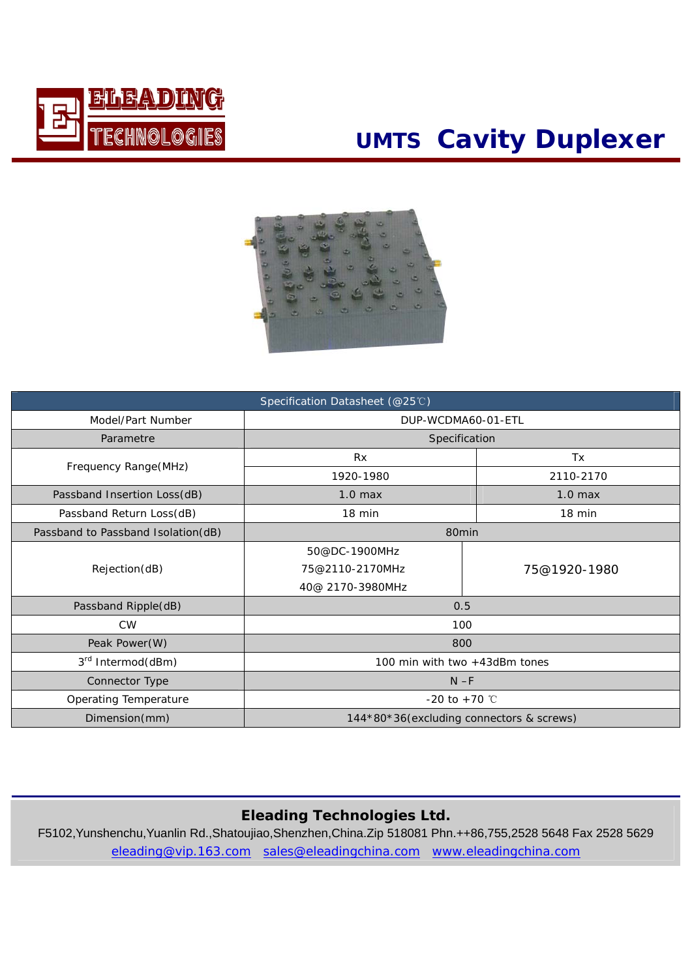

# **UMTS Cavity Duplexer**



| Specification Datasheet (@25℃)     |                                          |              |  |
|------------------------------------|------------------------------------------|--------------|--|
| Model/Part Number                  | DUP-WCDMA60-01-ETL                       |              |  |
| Parametre                          | Specification                            |              |  |
| Frequency Range(MHz)               | Rx                                       | Tx           |  |
|                                    | 1920-1980                                | 2110-2170    |  |
| Passband Insertion Loss(dB)        | $1.0$ max                                | $1.0$ max    |  |
| Passband Return Loss(dB)           | 18 min                                   | 18 min       |  |
| Passband to Passband Isolation(dB) | 80min                                    |              |  |
|                                    | 50@DC-1900MHz                            |              |  |
| Rejection(dB)                      | 75@2110-2170MHz                          | 75@1920-1980 |  |
|                                    | 40@ 2170-3980MHz                         |              |  |
| Passband Ripple(dB)                | 0.5                                      |              |  |
| <b>CW</b>                          | 100                                      |              |  |
| Peak Power(W)                      | 800                                      |              |  |
| 3 <sup>rd</sup> Intermod(dBm)      | 100 min with two +43dBm tones            |              |  |
| Connector Type                     | $N - F$                                  |              |  |
| Operating Temperature              | $-20$ to $+70$ °C                        |              |  |
| Dimension(mm)                      | 144*80*36(excluding connectors & screws) |              |  |

#### **Eleading Technologies Ltd.**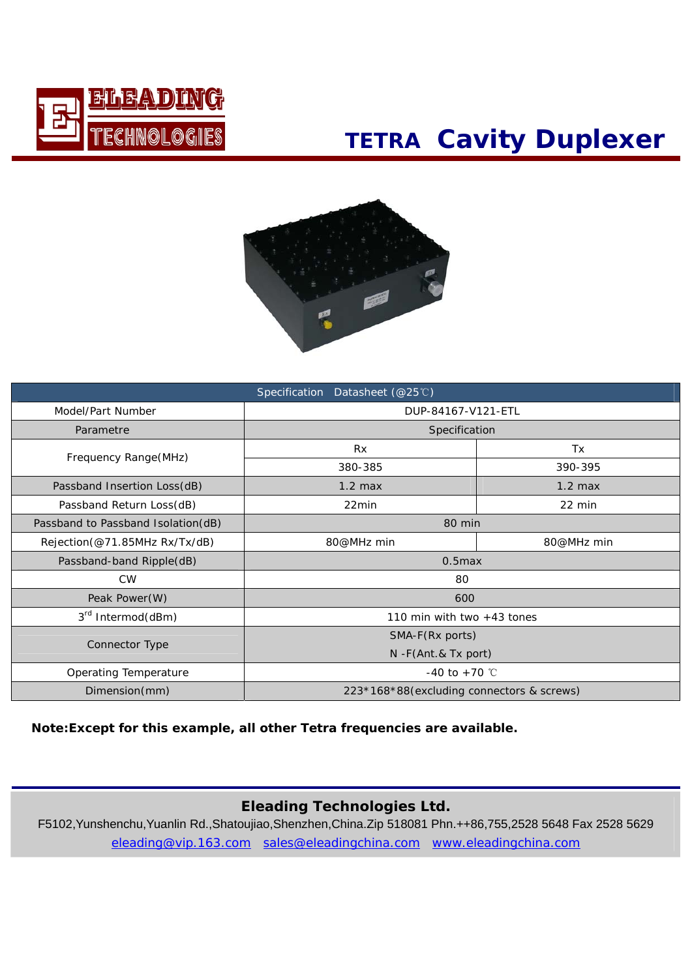

## **TETRA Cavity Duplexer**



| Specification Datasheet (@25℃)     |                                           |           |  |  |
|------------------------------------|-------------------------------------------|-----------|--|--|
| Model/Part Number                  | DUP-84167-V121-ETL                        |           |  |  |
| Parametre                          | Specification                             |           |  |  |
|                                    | <b>Rx</b>                                 | Tx        |  |  |
| Frequency Range(MHz)               | 380-385                                   | 390-395   |  |  |
| Passband Insertion Loss(dB)        | $1.2$ max                                 | $1.2$ max |  |  |
| Passband Return Loss(dB)           | 22min<br>$22 \text{ min}$                 |           |  |  |
| Passband to Passband Isolation(dB) | 80 min                                    |           |  |  |
| Rejection(@71.85MHz Rx/Tx/dB)      | 80@MHz min<br>80@MHz min                  |           |  |  |
| Passband-band Ripple(dB)           | $0.5$ max                                 |           |  |  |
| <b>CW</b>                          | 80                                        |           |  |  |
| Peak Power(W)                      | 600                                       |           |  |  |
| 3 <sup>rd</sup> Intermod(dBm)      | 110 min with two $+43$ tones              |           |  |  |
|                                    | SMA-F(Rx ports)                           |           |  |  |
| Connector Type                     | $N$ -F(Ant.& Tx port)                     |           |  |  |
| Operating Temperature              | -40 to +70 $^{\circ}$ C                   |           |  |  |
| Dimension(mm)                      | 223*168*88(excluding connectors & screws) |           |  |  |

#### **Note:Except for this example, all other Tetra frequencies are available.**

#### **Eleading Technologies Ltd.**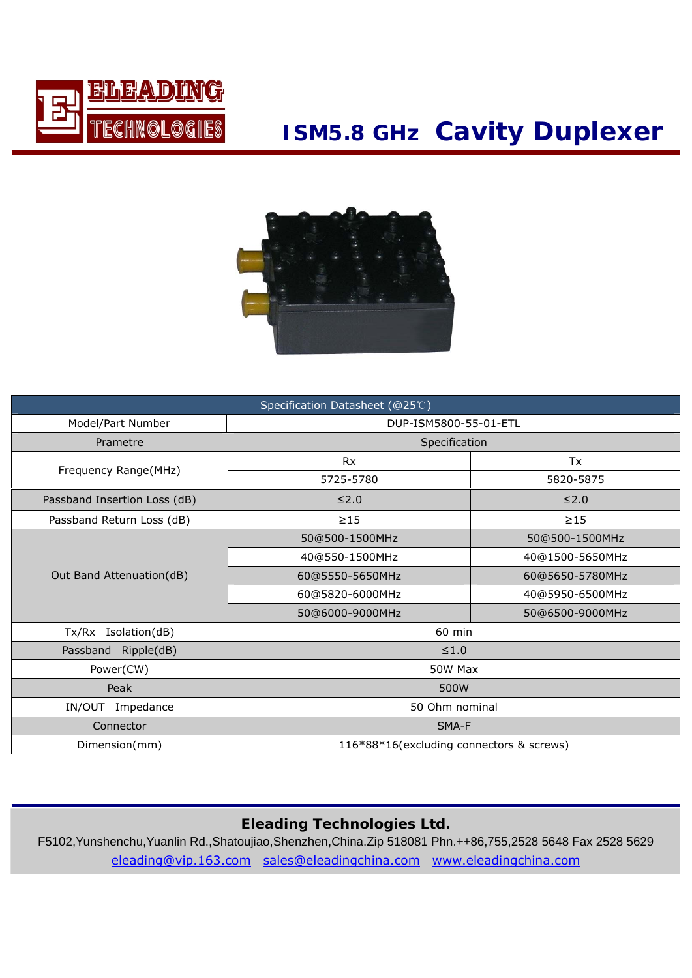

### **ISM5.8 GHz Cavity Duplexer**



| Specification Datasheet (@25℃) |                                          |                 |  |
|--------------------------------|------------------------------------------|-----------------|--|
| Model/Part Number              | DUP-ISM5800-55-01-ETL                    |                 |  |
| Prametre                       | Specification                            |                 |  |
|                                | Rx                                       | Tx              |  |
| Frequency Range(MHz)           | 5725-5780                                | 5820-5875       |  |
| Passband Insertion Loss (dB)   | $\leq 2.0$                               | $≤2.0$          |  |
| Passband Return Loss (dB)      | $\geq$ 15                                | $\geq$ 15       |  |
|                                | 50@500-1500MHz                           | 50@500-1500MHz  |  |
| Out Band Attenuation(dB)       | 40@550-1500MHz                           | 40@1500-5650MHz |  |
|                                | 60@5550-5650MHz                          | 60@5650-5780MHz |  |
|                                | 60@5820-6000MHz                          | 40@5950-6500MHz |  |
|                                | 50@6000-9000MHz                          | 50@6500-9000MHz |  |
| Tx/Rx Isolation(dB)            | 60 min                                   |                 |  |
| Ripple(dB)<br>Passband         | $\leq 1.0$                               |                 |  |
| Power(CW)                      | 50W Max                                  |                 |  |
| Peak                           | 500W                                     |                 |  |
| IN/OUT<br>Impedance            | 50 Ohm nominal                           |                 |  |
| Connector                      | SMA-F                                    |                 |  |
| Dimension(mm)                  | 116*88*16(excluding connectors & screws) |                 |  |

### **Eleading Technologies Ltd.**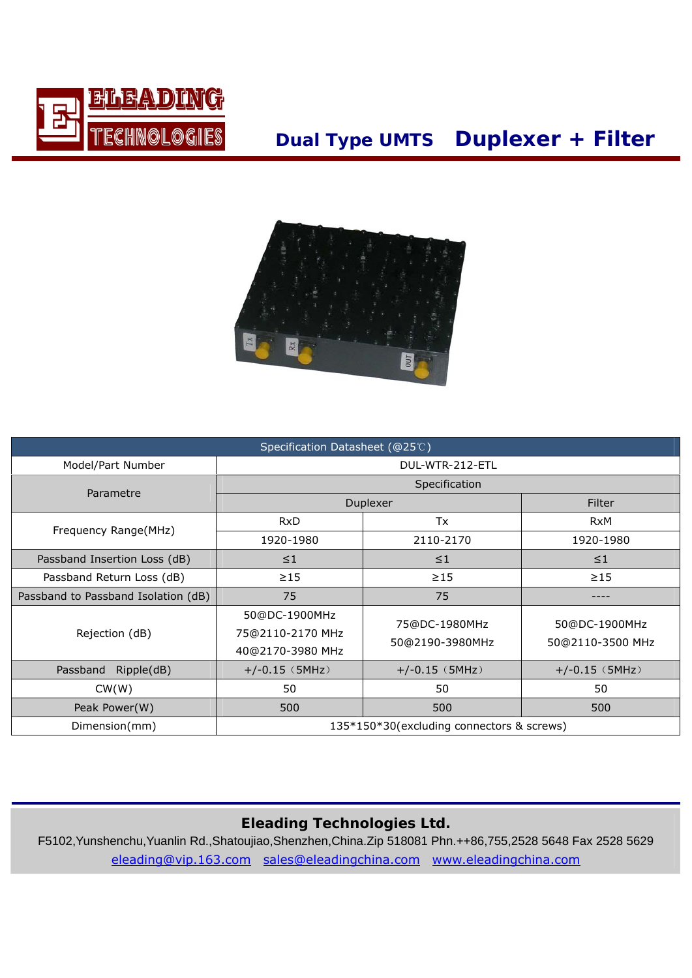

### **Dual Type UMTS Duplexer + Filter**



| Specification Datasheet (@25℃)      |                                                       |                                  |                                   |  |
|-------------------------------------|-------------------------------------------------------|----------------------------------|-----------------------------------|--|
| Model/Part Number                   |                                                       | DUL-WTR-212-ETL                  |                                   |  |
|                                     | Specification                                         |                                  |                                   |  |
| Parametre                           | Duplexer                                              |                                  | Filter                            |  |
|                                     | <b>RxD</b>                                            | Tx                               | <b>RxM</b>                        |  |
| Frequency Range(MHz)                | 1920-1980                                             | 2110-2170                        | 1920-1980                         |  |
| Passband Insertion Loss (dB)        | $\leq$ 1                                              | $\leq$ 1                         | $\leq$ 1                          |  |
| Passband Return Loss (dB)           | $\geq$ 15                                             | $\geq$ 15                        | $\geq$ 15                         |  |
| Passband to Passband Isolation (dB) | 75                                                    | 75                               |                                   |  |
| Rejection (dB)                      | 50@DC-1900MHz<br>75@2110-2170 MHz<br>40@2170-3980 MHz | 75@DC-1980MHz<br>50@2190-3980MHz | 50@DC-1900MHz<br>50@2110-3500 MHz |  |
| Ripple(dB)<br>Passband              | $+/-0.15$ (5MHz)                                      | $+/-0.15$ (5MHz)                 | $+/-0.15$ (5MHz)                  |  |
| CW(W)                               | 50                                                    | 50                               | 50                                |  |
| Peak Power(W)                       | 500                                                   | 500                              | 500                               |  |
| Dimension(mm)                       | 135*150*30(excluding connectors & screws)             |                                  |                                   |  |

### **Eleading Technologies Ltd.**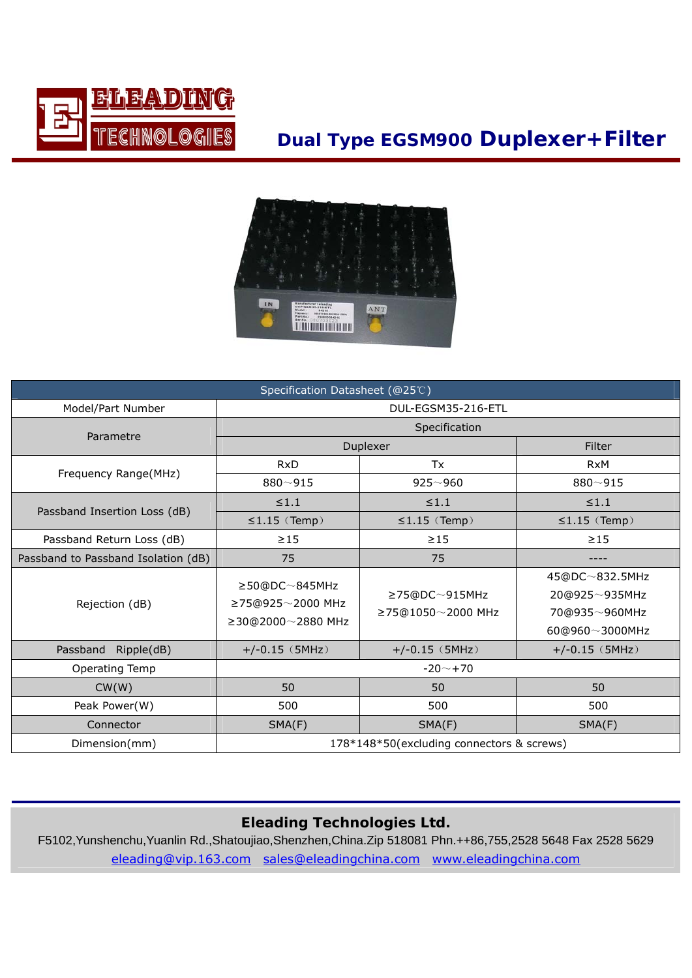

### **Dual Type EGSM900 Duplexer+Filter**



| Specification Datasheet (@25℃)      |                                                                     |                                                 |                                                                    |  |
|-------------------------------------|---------------------------------------------------------------------|-------------------------------------------------|--------------------------------------------------------------------|--|
| Model/Part Number                   |                                                                     | DUL-EGSM35-216-ETL                              |                                                                    |  |
| Parametre                           |                                                                     | Specification                                   |                                                                    |  |
|                                     | Duplexer                                                            |                                                 | Filter                                                             |  |
|                                     | <b>RxD</b>                                                          | Tx                                              | <b>RxM</b>                                                         |  |
| Frequency Range(MHz)                | $880 - 915$                                                         | $925 - 960$                                     | $880 - 915$                                                        |  |
|                                     | $\leq 1.1$                                                          | $\leq 1.1$                                      | $\leq 1.1$                                                         |  |
| Passband Insertion Loss (dB)        | $\leq$ 1.15 (Temp)                                                  | $\leq$ 1.15 (Temp)                              | $\leq$ 1.15 (Temp)                                                 |  |
| Passband Return Loss (dB)           | $\geq$ 15                                                           | $\geq$ 15                                       | $\geq$ 15                                                          |  |
| Passband to Passband Isolation (dB) | 75                                                                  | 75                                              |                                                                    |  |
| Rejection (dB)                      | $\geq$ 50@DC $\sim$ 845MHz<br>≥75@925~2000 MHz<br>≥30@2000~2880 MHz | $\geq$ 75@DC $\sim$ 915MHz<br>≥75@1050~2000 MHz | 45@DC~832.5MHz<br>20@925~935MHz<br>70@935~960MHz<br>60@960~3000MHz |  |
| Passband<br>Ripple(dB)              | $+/-0.15$ (5MHz)                                                    | $+/-0.15$ (5MHz)                                | $+/-0.15$ (5MHz)                                                   |  |
| Operating Temp                      | $-20$ $-$ +70                                                       |                                                 |                                                                    |  |
| CW(W)                               | 50                                                                  | 50                                              | 50                                                                 |  |
| Peak Power(W)                       | 500                                                                 | 500                                             | 500                                                                |  |
| Connector                           | SMA(F)                                                              | SMA(F)                                          | SMA(F)                                                             |  |
| Dimension(mm)                       | 178*148*50(excluding connectors & screws)                           |                                                 |                                                                    |  |

### **Eleading Technologies Ltd.**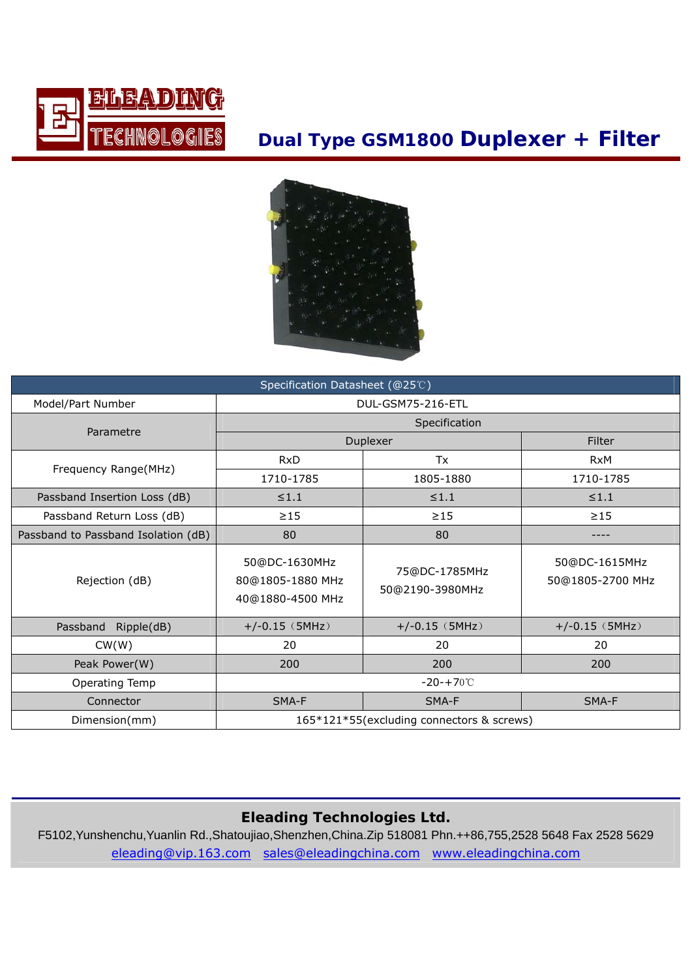

### **Dual Type GSM1800 Duplexer + Filter**



| Specification Datasheet (@25℃)      |                                                       |                                  |                                   |  |
|-------------------------------------|-------------------------------------------------------|----------------------------------|-----------------------------------|--|
| Model/Part Number                   | DUL-GSM75-216-ETL                                     |                                  |                                   |  |
|                                     | Specification                                         |                                  |                                   |  |
| Parametre                           |                                                       | Duplexer                         | Filter                            |  |
|                                     | <b>RxD</b>                                            | Tx                               | <b>RxM</b>                        |  |
| Frequency Range(MHz)                | 1710-1785                                             | 1805-1880                        | 1710-1785                         |  |
| Passband Insertion Loss (dB)        | $\leq 1.1$                                            | $\leq 1.1$                       | $\leq 1.1$                        |  |
| Passband Return Loss (dB)           | $\geq$ 15                                             | $\geq$ 15                        | $\geq$ 15                         |  |
| Passband to Passband Isolation (dB) | 80                                                    | 80                               |                                   |  |
| Rejection (dB)                      | 50@DC-1630MHz<br>80@1805-1880 MHz<br>40@1880-4500 MHz | 75@DC-1785MHz<br>50@2190-3980MHz | 50@DC-1615MHz<br>50@1805-2700 MHz |  |
| Passband<br>Ripple(dB)              | $+/-0.15$ (5MHz)                                      | $+/-0.15$ (5MHz)                 | $+/-0.15$ (5MHz)                  |  |
| CW(W)                               | 20                                                    | 20                               | 20                                |  |
| Peak Power(W)                       | 200                                                   | 200                              | 200                               |  |
| Operating Temp                      | $-20 - +70^{\circ}$                                   |                                  |                                   |  |
| Connector                           | SMA-F                                                 | SMA-F                            | SMA-F                             |  |
| Dimension(mm)                       | 165*121*55(excluding connectors & screws)             |                                  |                                   |  |

### **Eleading Technologies Ltd.**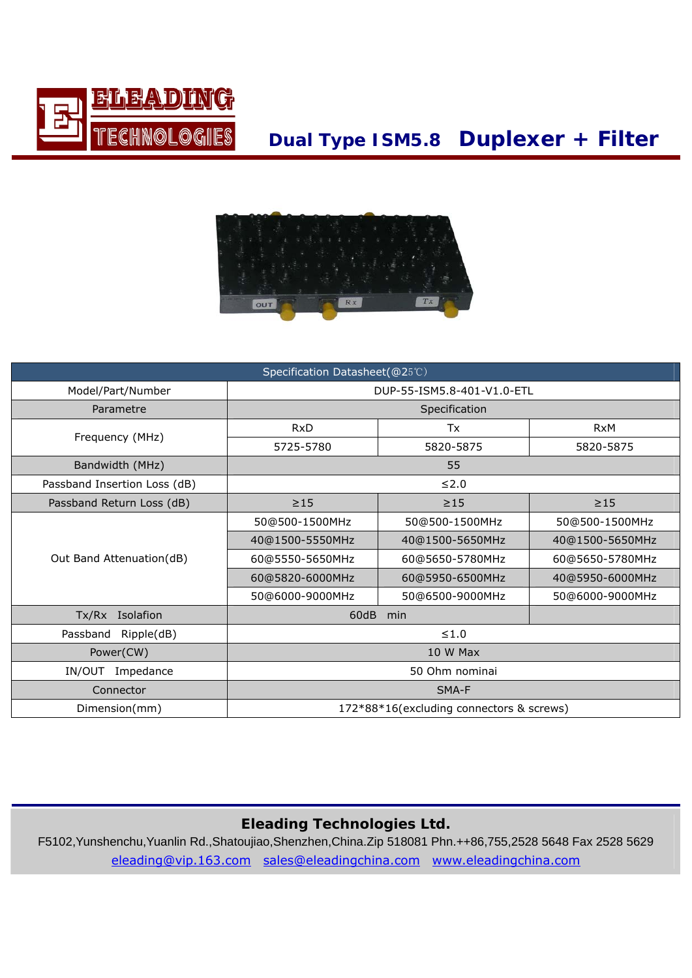

### **Dual Type ISM5.8 Duplexer + Filter**



| Specification Datasheet(@25℃) |                                          |                 |                 |  |
|-------------------------------|------------------------------------------|-----------------|-----------------|--|
| Model/Part/Number             | DUP-55-ISM5.8-401-V1.0-ETL               |                 |                 |  |
| Parametre                     | Specification                            |                 |                 |  |
|                               | <b>RxD</b>                               | Tx              | <b>RxM</b>      |  |
| Frequency (MHz)               | 5725-5780                                | 5820-5875       | 5820-5875       |  |
| Bandwidth (MHz)               |                                          | 55              |                 |  |
| Passband Insertion Loss (dB)  |                                          | $≤2.0$          |                 |  |
| Passband Return Loss (dB)     | $\geq$ 15<br>$\geq$ 15<br>$\geq$ 15      |                 |                 |  |
|                               | 50@500-1500MHz                           | 50@500-1500MHz  | 50@500-1500MHz  |  |
|                               | 40@1500-5550MHz                          | 40@1500-5650MHz | 40@1500-5650MHz |  |
| Out Band Attenuation(dB)      | 60@5550-5650MHz                          | 60@5650-5780MHz | 60@5650-5780MHz |  |
|                               | 60@5820-6000MHz                          | 60@5950-6500MHz | 40@5950-6000MHz |  |
|                               | 50@6000-9000MHz                          | 50@6500-9000MHz | 50@6000-9000MHz |  |
| Tx/Rx Isolafion               | 60dB<br>min                              |                 |                 |  |
| Passband<br>Ripple(dB)        | $≤1.0$                                   |                 |                 |  |
| Power(CW)                     | 10 W Max                                 |                 |                 |  |
| IN/OUT<br>Impedance           | 50 Ohm nominai                           |                 |                 |  |
| Connector                     | SMA-F                                    |                 |                 |  |
| Dimension(mm)                 | 172*88*16(excluding connectors & screws) |                 |                 |  |

### **Eleading Technologies Ltd.**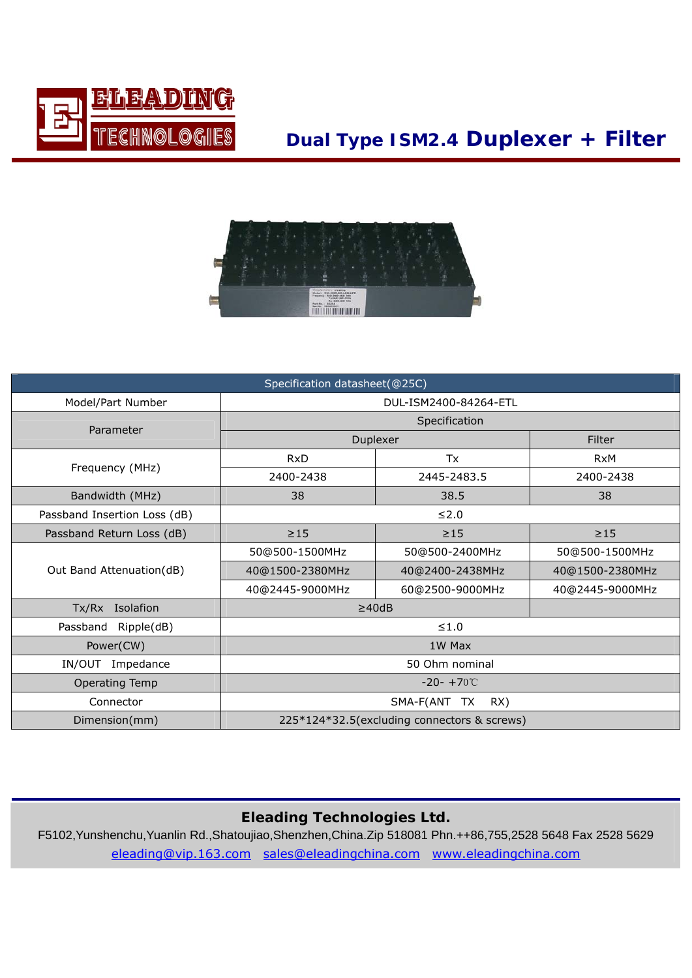

### **Dual Type ISM2.4 Duplexer + Filter**



| Specification datasheet(@25C) |                                             |                 |                 |  |
|-------------------------------|---------------------------------------------|-----------------|-----------------|--|
| Model/Part Number             | DUL-ISM2400-84264-ETL                       |                 |                 |  |
| Parameter                     | Specification                               |                 |                 |  |
|                               | Duplexer                                    |                 | Filter          |  |
| Frequency (MHz)               | <b>RxD</b>                                  | Tx              | <b>RxM</b>      |  |
|                               | 2400-2438                                   | 2445-2483.5     | 2400-2438       |  |
| Bandwidth (MHz)               | 38                                          | 38.5            | 38              |  |
| Passband Insertion Loss (dB)  | $≤2.0$                                      |                 |                 |  |
| Passband Return Loss (dB)     | $\geq$ 15                                   | $\geq$ 15       | $\geq$ 15       |  |
| Out Band Attenuation(dB)      | 50@500-1500MHz                              | 50@500-2400MHz  | 50@500-1500MHz  |  |
|                               | 40@1500-2380MHz                             | 40@2400-2438MHz | 40@1500-2380MHz |  |
|                               | 40@2445-9000MHz                             | 60@2500-9000MHz | 40@2445-9000MHz |  |
| Tx/Rx Isolafion               | $\geq$ 40dB                                 |                 |                 |  |
| Ripple(dB)<br>Passband        | $≤1.0$                                      |                 |                 |  |
| Power(CW)                     | 1W Max                                      |                 |                 |  |
| IN/OUT<br>Impedance           | 50 Ohm nominal                              |                 |                 |  |
| <b>Operating Temp</b>         | $-20 - +70^{\circ}$                         |                 |                 |  |
| Connector                     | SMA-F(ANT TX<br>RX)                         |                 |                 |  |
| Dimension(mm)                 | 225*124*32.5(excluding connectors & screws) |                 |                 |  |

### **Eleading Technologies Ltd.**